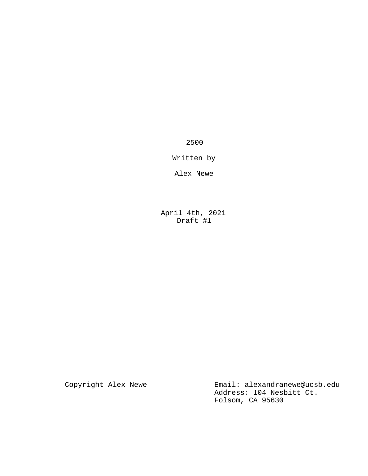2500

Written by

Alex Newe

April 4th, 2021 Draft #1

Copyright Alex Newe **Email:** alexandranewe@ucsb.edu Address: 104 Nesbitt Ct. Folsom, CA 95630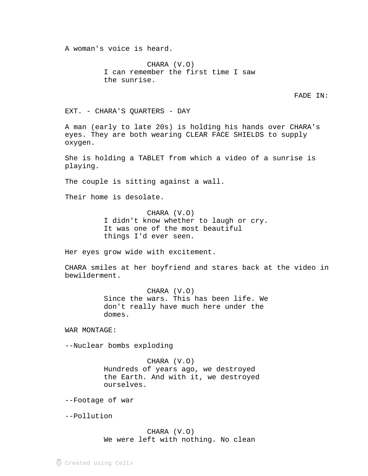A woman's voice is heard.

CHARA (V.O) I can remember the first time I saw the sunrise.

FADE IN:

EXT. - CHARA'S QUARTERS - DAY

A man (early to late 20s) is holding his hands over CHARA's eyes. They are both wearing CLEAR FACE SHIELDS to supply oxygen.

She is holding a TABLET from which a video of a sunrise is playing.

The couple is sitting against a wall.

Their home is desolate.

CHARA (V.O) I didn't know whether to laugh or cry. It was one of the most beautiful things I'd ever seen.

Her eyes grow wide with excitement.

CHARA smiles at her boyfriend and stares back at the video in bewilderment.

> CHARA (V.O) Since the wars. This has been life. We don't really have much here under the domes.

WAR MONTAGE:

--Nuclear bombs exploding

CHARA (V.O) Hundreds of years ago, we destroyed the Earth. And with it, we destroyed ourselves.

--Footage of war

--Pollution

CHARA (V.O) We were left with nothing. No clean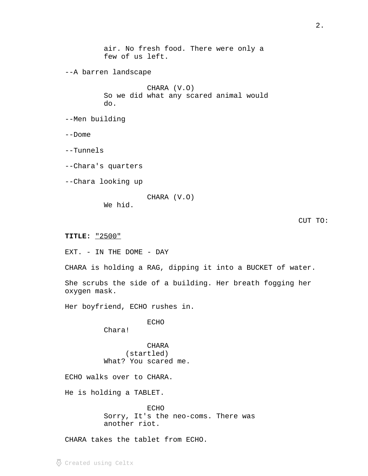air. No fresh food. There were only a few of us left. --A barren landscape CHARA (V.O) So we did what any scared animal would do. --Men building --Dome --Tunnels --Chara's quarters --Chara looking up CHARA (V.O) We hid. CUT TO: "2500" **TITLE:** \_\_\_\_\_\_ EXT. - IN THE DOME - DAY CHARA is holding a RAG, dipping it into a BUCKET of water. She scrubs the side of a building. Her breath fogging her

Her boyfriend, ECHO rushes in.

ECHO

Chara!

oxygen mask.

CHARA (startled) What? You scared me.

ECHO walks over to CHARA.

He is holding a TABLET.

ECHO Sorry, It's the neo-coms. There was another riot.

CHARA takes the tablet from ECHO.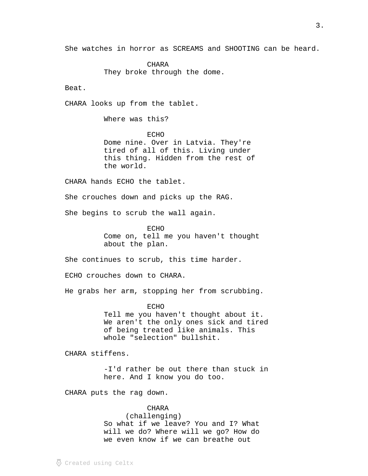She watches in horror as SCREAMS and SHOOTING can be heard.

CHARA They broke through the dome.

Beat.

CHARA looks up from the tablet.

Where was this?

ECHO Dome nine. Over in Latvia. They're tired of all of this. Living under this thing. Hidden from the rest of the world.

CHARA hands ECHO the tablet.

She crouches down and picks up the RAG.

She begins to scrub the wall again.

ECHO Come on, tell me you haven't thought about the plan.

She continues to scrub, this time harder.

ECHO crouches down to CHARA.

He grabs her arm, stopping her from scrubbing.

ECHO

Tell me you haven't thought about it. We aren't the only ones sick and tired of being treated like animals. This whole "selection" bullshit.

CHARA stiffens.

-I'd rather be out there than stuck in here. And I know you do too.

CHARA puts the rag down.

# CHARA

(challenging) So what if we leave? You and I? What will we do? Where will we go? How do we even know if we can breathe out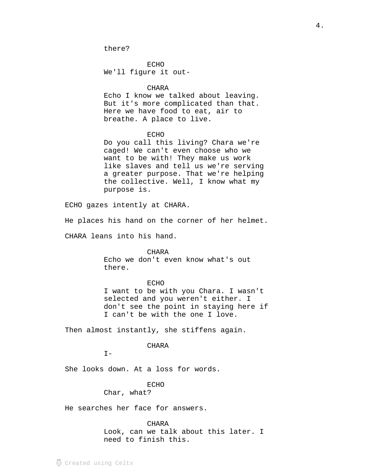ECHO We'll figure it out-

#### CHARA

Echo I know we talked about leaving. But it's more complicated than that. Here we have food to eat, air to breathe. A place to live.

#### ECHO

Do you call this living? Chara we're caged! We can't even choose who we want to be with! They make us work like slaves and tell us we're serving a greater purpose. That we're helping the collective. Well, I know what my purpose is.

ECHO gazes intently at CHARA.

He places his hand on the corner of her helmet.

CHARA leans into his hand.

CHARA

Echo we don't even know what's out there.

#### ECHO

I want to be with you Chara. I wasn't selected and you weren't either. I don't see the point in staying here if I can't be with the one I love.

Then almost instantly, she stiffens again.

# CHARA

 $I -$ 

She looks down. At a loss for words.

#### ECHO

Char, what?

He searches her face for answers.

## CHARA

Look, can we talk about this later. I need to finish this.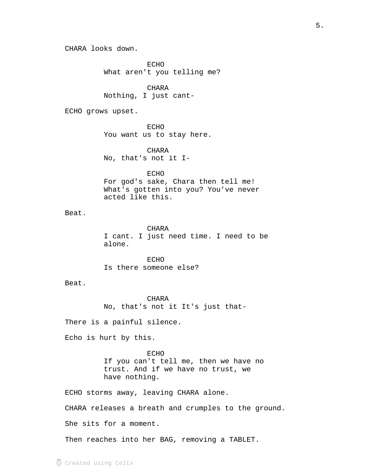CHARA looks down.

ECHO What aren't you telling me?

CHARA Nothing, I just cant-

ECHO grows upset.

ECHO You want us to stay here.

CHARA No, that's not it I-

ECHO For god's sake, Chara then tell me! What's gotten into you? You've never acted like this.

Beat.

CHARA I cant. I just need time. I need to be alone.

ECHO Is there someone else?

Beat.

CHARA No, that's not it It's just that-

There is a painful silence.

Echo is hurt by this.

ECHO If you can't tell me, then we have no trust. And if we have no trust, we have nothing.

ECHO storms away, leaving CHARA alone.

CHARA releases a breath and crumples to the ground.

She sits for a moment.

Then reaches into her BAG, removing a TABLET.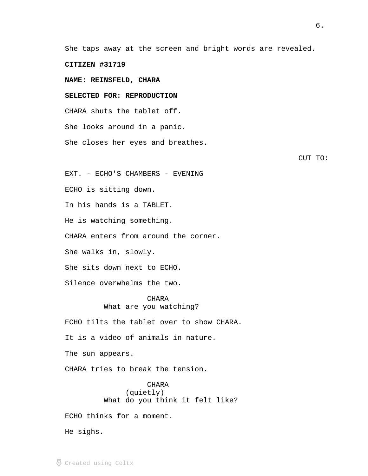She taps away at the screen and bright words are revealed.

**CITIZEN #31719**

**NAME: REINSFELD, CHARA**

**SELECTED FOR: REPRODUCTION**

CHARA shuts the tablet off.

She looks around in a panic.

She closes her eyes and breathes.

CUT TO:

EXT. - ECHO'S CHAMBERS - EVENING

ECHO is sitting down.

In his hands is a TABLET.

He is watching something.

CHARA enters from around the corner.

She walks in, slowly.

She sits down next to ECHO.

Silence overwhelms the two.

CHARA What are you watching?

ECHO tilts the tablet over to show CHARA.

It is a video of animals in nature.

The sun appears.

CHARA tries to break the tension.

CHARA (quietly) What do you think it felt like?

ECHO thinks for a moment.

He sighs.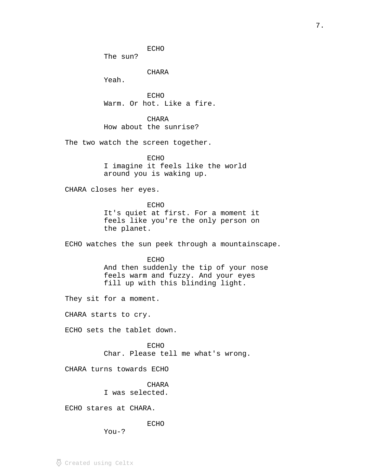ECHO

The sun?

CHARA

Yeah.

ECHO Warm. Or hot. Like a fire.

CHARA How about the sunrise?

The two watch the screen together.

ECHO I imagine it feels like the world around you is waking up.

CHARA closes her eyes.

ECHO It's quiet at first. For a moment it feels like you're the only person on the planet.

ECHO watches the sun peek through a mountainscape.

### ECHO

And then suddenly the tip of your nose feels warm and fuzzy. And your eyes fill up with this blinding light.

They sit for a moment.

CHARA starts to cry.

ECHO sets the tablet down.

ECHO Char. Please tell me what's wrong.

CHARA turns towards ECHO

CHARA I was selected.

ECHO stares at CHARA.

ECHO

You-?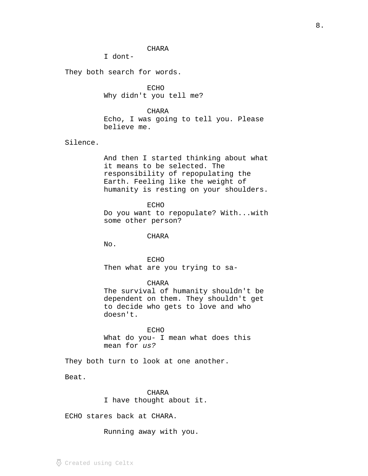## CHARA

I dont-

They both search for words.

ECHO Why didn't you tell me?

CHARA Echo, I was going to tell you. Please believe me.

Silence.

And then I started thinking about what it means to be selected. The responsibility of repopulating the Earth. Feeling like the weight of humanity is resting on your shoulders.

ECHO Do you want to repopulate? With...with some other person?

CHARA

No.

ECHO Then what are you trying to sa-

CHARA

The survival of humanity shouldn't be dependent on them. They shouldn't get to decide who gets to love and who doesn't.

ECHO What do you- I mean what does this mean for us?

They both turn to look at one another.

Beat.

CHARA I have thought about it.

ECHO stares back at CHARA.

Running away with you.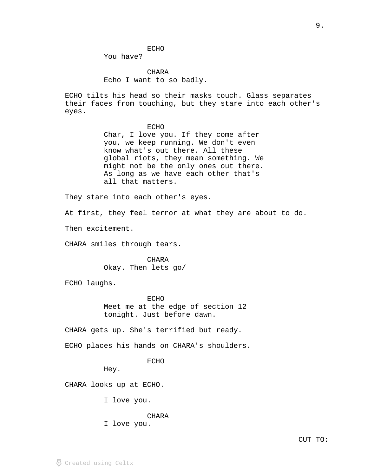#### ECHO

You have?

CHARA Echo I want to so badly.

ECHO tilts his head so their masks touch. Glass separates their faces from touching, but they stare into each other's eyes.

### ECHO

Char, I love you. If they come after you, we keep running. We don't even know what's out there. All these global riots, they mean something. We might not be the only ones out there. As long as we have each other that's all that matters.

They stare into each other's eyes.

At first, they feel terror at what they are about to do.

Then excitement.

CHARA smiles through tears.

CHARA Okay. Then lets go/

ECHO laughs.

**ECHO** Meet me at the edge of section 12 tonight. Just before dawn.

CHARA gets up. She's terrified but ready.

ECHO places his hands on CHARA's shoulders.

ECHO

Hey.

CHARA looks up at ECHO.

I love you.

CHARA

I love you.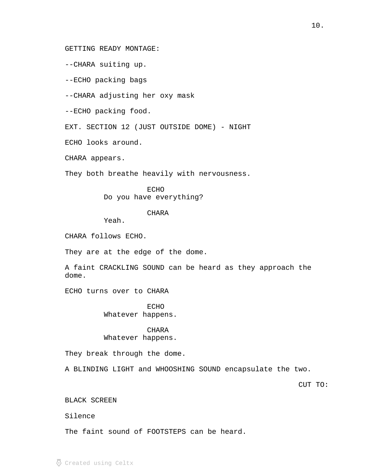GETTING READY MONTAGE:

--CHARA suiting up.

--ECHO packing bags

--CHARA adjusting her oxy mask

--ECHO packing food.

EXT. SECTION 12 (JUST OUTSIDE DOME) - NIGHT

ECHO looks around.

CHARA appears.

They both breathe heavily with nervousness.

ECHO Do you have everything?

# CHARA

Yeah.

CHARA follows ECHO.

They are at the edge of the dome.

A faint CRACKLING SOUND can be heard as they approach the dome.

ECHO turns over to CHARA

ECHO Whatever happens.

### CHARA

## Whatever happens.

They break through the dome.

A BLINDING LIGHT and WHOOSHING SOUND encapsulate the two.

CUT TO:

## BLACK SCREEN

Silence

The faint sound of FOOTSTEPS can be heard.